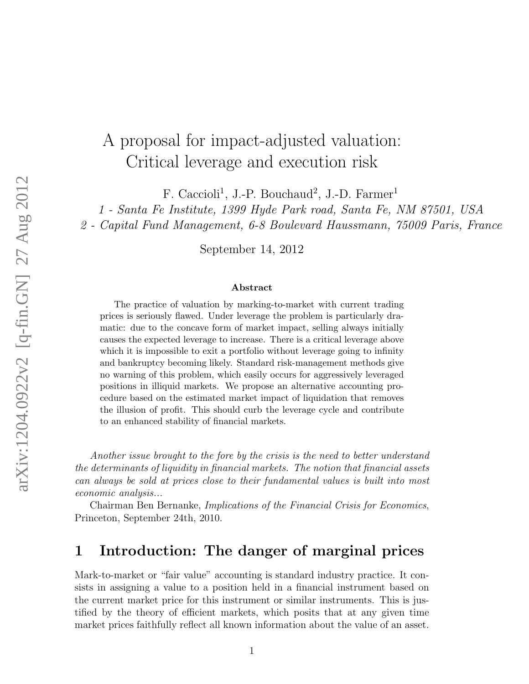# A proposal for impact-adjusted valuation: Critical leverage and execution risk

F. Caccioli<sup>1</sup>, J.-P. Bouchaud<sup>2</sup>, J.-D. Farmer<sup>1</sup>

1 - Santa Fe Institute, 1399 Hyde Park road, Santa Fe, NM 87501, USA

2 - Capital Fund Management, 6-8 Boulevard Haussmann, 75009 Paris, France

September 14, 2012

#### Abstract

The practice of valuation by marking-to-market with current trading prices is seriously flawed. Under leverage the problem is particularly dramatic: due to the concave form of market impact, selling always initially causes the expected leverage to increase. There is a critical leverage above which it is impossible to exit a portfolio without leverage going to infinity and bankruptcy becoming likely. Standard risk-management methods give no warning of this problem, which easily occurs for aggressively leveraged positions in illiquid markets. We propose an alternative accounting procedure based on the estimated market impact of liquidation that removes the illusion of profit. This should curb the leverage cycle and contribute to an enhanced stability of financial markets.

Another issue brought to the fore by the crisis is the need to better understand the determinants of liquidity in financial markets. The notion that financial assets can always be sold at prices close to their fundamental values is built into most economic analysis...

Chairman Ben Bernanke, Implications of the Financial Crisis for Economics, Princeton, September 24th, 2010.

### 1 Introduction: The danger of marginal prices

Mark-to-market or "fair value" accounting is standard industry practice. It consists in assigning a value to a position held in a financial instrument based on the current market price for this instrument or similar instruments. This is justified by the theory of efficient markets, which posits that at any given time market prices faithfully reflect all known information about the value of an asset.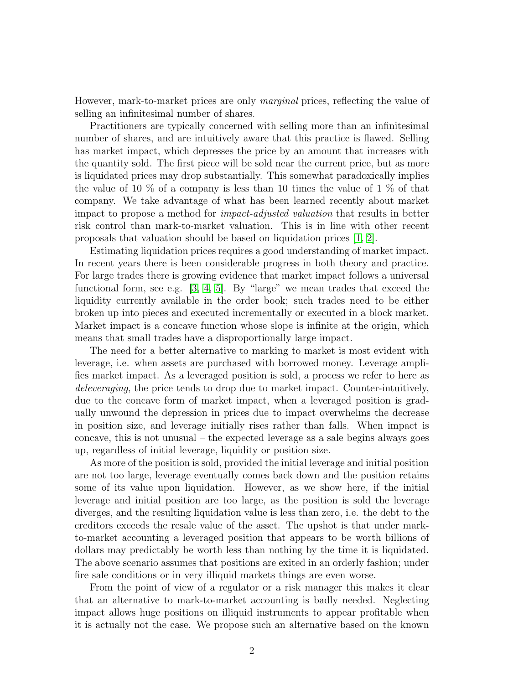However, mark-to-market prices are only marginal prices, reflecting the value of selling an infinitesimal number of shares.

Practitioners are typically concerned with selling more than an infinitesimal number of shares, and are intuitively aware that this practice is flawed. Selling has market impact, which depresses the price by an amount that increases with the quantity sold. The first piece will be sold near the current price, but as more is liquidated prices may drop substantially. This somewhat paradoxically implies the value of 10  $\%$  of a company is less than 10 times the value of 1  $\%$  of that company. We take advantage of what has been learned recently about market impact to propose a method for impact-adjusted valuation that results in better risk control than mark-to-market valuation. This is in line with other recent proposals that valuation should be based on liquidation prices [\[1,](#page-15-0) [2\]](#page-15-1).

Estimating liquidation prices requires a good understanding of market impact. In recent years there is been considerable progress in both theory and practice. For large trades there is growing evidence that market impact follows a universal functional form, see e.g.  $[3, 4, 5]$  $[3, 4, 5]$  $[3, 4, 5]$ . By "large" we mean trades that exceed the liquidity currently available in the order book; such trades need to be either broken up into pieces and executed incrementally or executed in a block market. Market impact is a concave function whose slope is infinite at the origin, which means that small trades have a disproportionally large impact.

The need for a better alternative to marking to market is most evident with leverage, i.e. when assets are purchased with borrowed money. Leverage amplifies market impact. As a leveraged position is sold, a process we refer to here as deleveraging, the price tends to drop due to market impact. Counter-intuitively, due to the concave form of market impact, when a leveraged position is gradually unwound the depression in prices due to impact overwhelms the decrease in position size, and leverage initially rises rather than falls. When impact is concave, this is not unusual – the expected leverage as a sale begins always goes up, regardless of initial leverage, liquidity or position size.

As more of the position is sold, provided the initial leverage and initial position are not too large, leverage eventually comes back down and the position retains some of its value upon liquidation. However, as we show here, if the initial leverage and initial position are too large, as the position is sold the leverage diverges, and the resulting liquidation value is less than zero, i.e. the debt to the creditors exceeds the resale value of the asset. The upshot is that under markto-market accounting a leveraged position that appears to be worth billions of dollars may predictably be worth less than nothing by the time it is liquidated. The above scenario assumes that positions are exited in an orderly fashion; under fire sale conditions or in very illiquid markets things are even worse.

From the point of view of a regulator or a risk manager this makes it clear that an alternative to mark-to-market accounting is badly needed. Neglecting impact allows huge positions on illiquid instruments to appear profitable when it is actually not the case. We propose such an alternative based on the known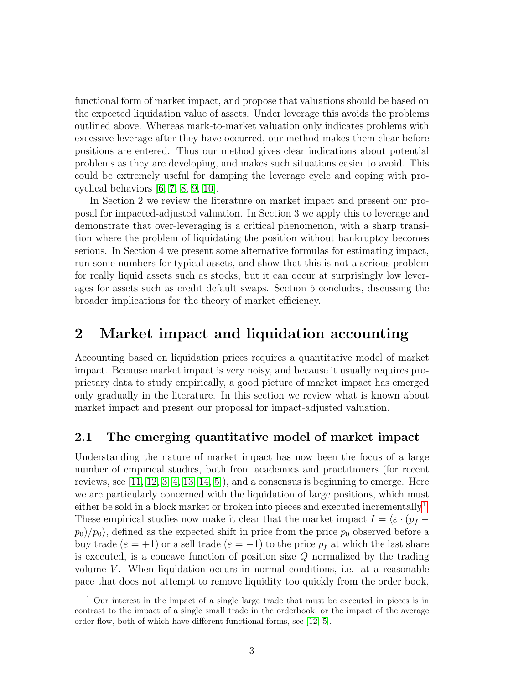functional form of market impact, and propose that valuations should be based on the expected liquidation value of assets. Under leverage this avoids the problems outlined above. Whereas mark-to-market valuation only indicates problems with excessive leverage after they have occurred, our method makes them clear before positions are entered. Thus our method gives clear indications about potential problems as they are developing, and makes such situations easier to avoid. This could be extremely useful for damping the leverage cycle and coping with procyclical behaviors [\[6,](#page-16-3) [7,](#page-16-4) [8,](#page-16-5) [9,](#page-16-6) [10\]](#page-16-7).

In Section 2 we review the literature on market impact and present our proposal for impacted-adjusted valuation. In Section 3 we apply this to leverage and demonstrate that over-leveraging is a critical phenomenon, with a sharp transition where the problem of liquidating the position without bankruptcy becomes serious. In Section 4 we present some alternative formulas for estimating impact, run some numbers for typical assets, and show that this is not a serious problem for really liquid assets such as stocks, but it can occur at surprisingly low leverages for assets such as credit default swaps. Section 5 concludes, discussing the broader implications for the theory of market efficiency.

### 2 Market impact and liquidation accounting

Accounting based on liquidation prices requires a quantitative model of market impact. Because market impact is very noisy, and because it usually requires proprietary data to study empirically, a good picture of market impact has emerged only gradually in the literature. In this section we review what is known about market impact and present our proposal for impact-adjusted valuation.

#### 2.1 The emerging quantitative model of market impact

Understanding the nature of market impact has now been the focus of a large number of empirical studies, both from academics and practitioners (for recent reviews, see [\[11,](#page-16-8) [12,](#page-16-9) [3,](#page-16-0) [4,](#page-16-1) [13,](#page-16-10) [14,](#page-16-11) [5\]](#page-16-2)), and a consensus is beginning to emerge. Here we are particularly concerned with the liquidation of large positions, which must either be sold in a block market or broken into pieces and executed incrementally<sup>[1](#page-2-0)</sup>. These empirical studies now make it clear that the market impact  $I = \langle \varepsilon \cdot (p_f - \mathbf{I}) \rangle$  $p_0$ / $p_0$ , defined as the expected shift in price from the price  $p_0$  observed before a buy trade ( $\varepsilon = +1$ ) or a sell trade ( $\varepsilon = -1$ ) to the price  $p_f$  at which the last share is executed, is a concave function of position size  $Q$  normalized by the trading volume  $V$ . When liquidation occurs in normal conditions, i.e. at a reasonable pace that does not attempt to remove liquidity too quickly from the order book,

<span id="page-2-0"></span><sup>1</sup> Our interest in the impact of a single large trade that must be executed in pieces is in contrast to the impact of a single small trade in the orderbook, or the impact of the average order flow, both of which have different functional forms, see [\[12,](#page-16-9) [5\]](#page-16-2).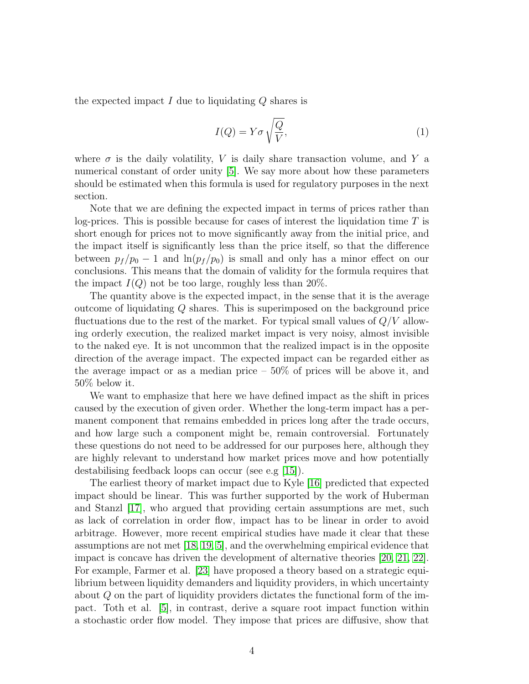the expected impact  $I$  due to liquidating  $Q$  shares is

<span id="page-3-0"></span>
$$
I(Q) = Y\sigma \sqrt{\frac{Q}{V}},\tag{1}
$$

where  $\sigma$  is the daily volatility, V is daily share transaction volume, and Y a numerical constant of order unity [\[5\]](#page-16-2). We say more about how these parameters should be estimated when this formula is used for regulatory purposes in the next section.

Note that we are defining the expected impact in terms of prices rather than log-prices. This is possible because for cases of interest the liquidation time  $T$  is short enough for prices not to move significantly away from the initial price, and the impact itself is significantly less than the price itself, so that the difference between  $p_f / p_0 - 1$  and  $\ln(p_f / p_0)$  is small and only has a minor effect on our conclusions. This means that the domain of validity for the formula requires that the impact  $I(Q)$  not be too large, roughly less than 20%.

The quantity above is the expected impact, in the sense that it is the average outcome of liquidating Q shares. This is superimposed on the background price fluctuations due to the rest of the market. For typical small values of  $Q/V$  allowing orderly execution, the realized market impact is very noisy, almost invisible to the naked eye. It is not uncommon that the realized impact is in the opposite direction of the average impact. The expected impact can be regarded either as the average impact or as a median price  $-50\%$  of prices will be above it, and 50% below it.

We want to emphasize that here we have defined impact as the shift in prices caused by the execution of given order. Whether the long-term impact has a permanent component that remains embedded in prices long after the trade occurs, and how large such a component might be, remain controversial. Fortunately these questions do not need to be addressed for our purposes here, although they are highly relevant to understand how market prices move and how potentially destabilising feedback loops can occur (see e.g [\[15\]](#page-16-12)).

The earliest theory of market impact due to Kyle [\[16\]](#page-17-0) predicted that expected impact should be linear. This was further supported by the work of Huberman and Stanzl [\[17\]](#page-17-1), who argued that providing certain assumptions are met, such as lack of correlation in order flow, impact has to be linear in order to avoid arbitrage. However, more recent empirical studies have made it clear that these assumptions are not met [\[18,](#page-17-2) [19,](#page-17-3) [5\]](#page-16-2), and the overwhelming empirical evidence that impact is concave has driven the development of alternative theories [\[20,](#page-17-4) [21,](#page-17-5) [22\]](#page-17-6). For example, Farmer et al. [\[23\]](#page-17-7) have proposed a theory based on a strategic equilibrium between liquidity demanders and liquidity providers, in which uncertainty about Q on the part of liquidity providers dictates the functional form of the impact. Toth et al. [\[5\]](#page-16-2), in contrast, derive a square root impact function within a stochastic order flow model. They impose that prices are diffusive, show that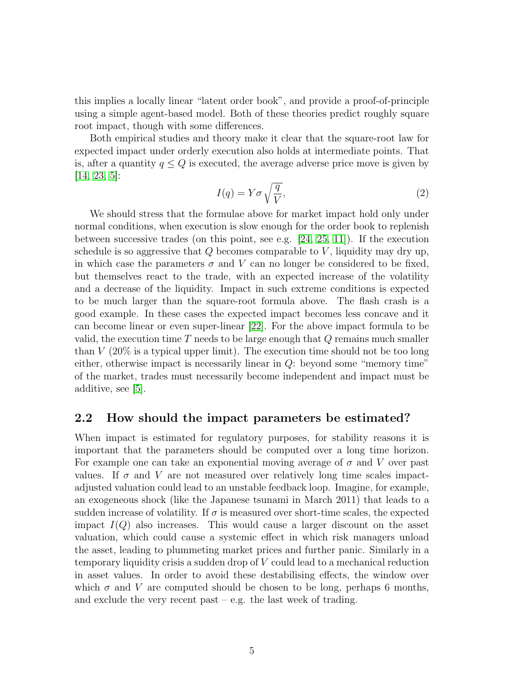this implies a locally linear "latent order book", and provide a proof-of-principle using a simple agent-based model. Both of these theories predict roughly square root impact, though with some differences.

Both empirical studies and theory make it clear that the square-root law for expected impact under orderly execution also holds at intermediate points. That is, after a quantity  $q \leq Q$  is executed, the average adverse price move is given by [\[14,](#page-16-11) [23,](#page-17-7) [5\]](#page-16-2):

$$
I(q) = Y\sigma \sqrt{\frac{q}{V}},\tag{2}
$$

We should stress that the formulae above for market impact hold only under normal conditions, when execution is slow enough for the order book to replenish between successive trades (on this point, see e.g. [\[24,](#page-17-8) [25,](#page-17-9) [11\]](#page-16-8)). If the execution schedule is so aggressive that  $Q$  becomes comparable to  $V$ , liquidity may dry up, in which case the parameters  $\sigma$  and V can no longer be considered to be fixed, but themselves react to the trade, with an expected increase of the volatility and a decrease of the liquidity. Impact in such extreme conditions is expected to be much larger than the square-root formula above. The flash crash is a good example. In these cases the expected impact becomes less concave and it can become linear or even super-linear [\[22\]](#page-17-6). For the above impact formula to be valid, the execution time  $T$  needs to be large enough that  $Q$  remains much smaller than  $V(20\%$  is a typical upper limit). The execution time should not be too long either, otherwise impact is necessarily linear in Q: beyond some "memory time" of the market, trades must necessarily become independent and impact must be additive, see [\[5\]](#page-16-2).

#### 2.2 How should the impact parameters be estimated?

When impact is estimated for regulatory purposes, for stability reasons it is important that the parameters should be computed over a long time horizon. For example one can take an exponential moving average of  $\sigma$  and V over past values. If  $\sigma$  and V are not measured over relatively long time scales impactadjusted valuation could lead to an unstable feedback loop. Imagine, for example, an exogeneous shock (like the Japanese tsunami in March 2011) that leads to a sudden increase of volatility. If  $\sigma$  is measured over short-time scales, the expected impact  $I(Q)$  also increases. This would cause a larger discount on the asset valuation, which could cause a systemic effect in which risk managers unload the asset, leading to plummeting market prices and further panic. Similarly in a temporary liquidity crisis a sudden drop of V could lead to a mechanical reduction in asset values. In order to avoid these destabilising effects, the window over which  $\sigma$  and V are computed should be chosen to be long, perhaps 6 months, and exclude the very recent past – e.g. the last week of trading.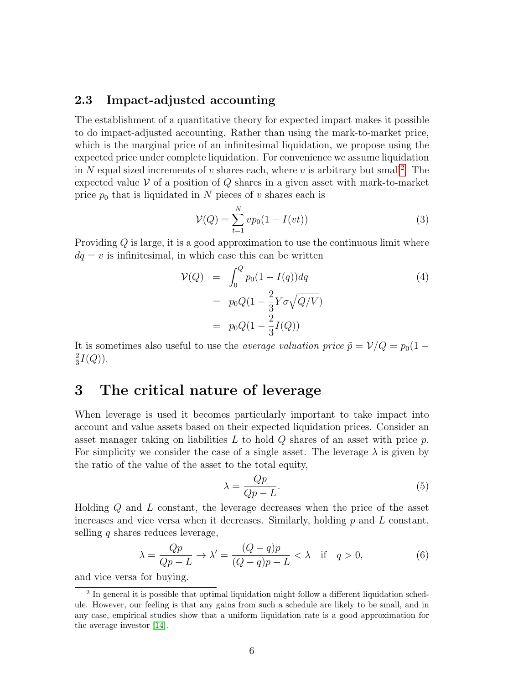#### 2.3 Impact-adjusted accounting

The establishment of a quantitative theory for expected impact makes it possible to do impact-adjusted accounting. Rather than using the mark-to-market price, which is the marginal price of an infinitesimal liquidation, we propose using the expected price under complete liquidation. For convenience we assume liquidation in N equal sized increments of v shares each, where v is arbitrary but small<sup>[2](#page-5-0)</sup>. The expected value  $V$  of a position of  $Q$  shares in a given asset with mark-to-market price  $p_0$  that is liquidated in N pieces of v shares each is

$$
\mathcal{V}(Q) = \sum_{t=1}^{N} vp_0(1 - I(vt))
$$
\n(3)

Providing Q is large, it is a good approximation to use the continuous limit where  $dq = v$  is infinitesimal, in which case this can be written

$$
\mathcal{V}(Q) = \int_0^Q p_0 (1 - I(q)) dq
$$
\n
$$
= p_0 Q (1 - \frac{2}{3} Y \sigma \sqrt{Q/V})
$$
\n
$$
= p_0 Q (1 - \frac{2}{3} I(Q))
$$
\n(4)

It is sometimes also useful to use the *average valuation price*  $\tilde{p} = V/Q = p_0(1 -$ 2  $\frac{2}{3}I(Q)).$ 

### 3 The critical nature of leverage

When leverage is used it becomes particularly important to take impact into account and value assets based on their expected liquidation prices. Consider an asset manager taking on liabilities  $L$  to hold  $Q$  shares of an asset with price  $p$ . For simplicity we consider the case of a single asset. The leverage  $\lambda$  is given by the ratio of the value of the asset to the total equity,

<span id="page-5-1"></span>
$$
\lambda = \frac{Qp}{Qp - L}.\tag{5}
$$

Holding Q and L constant, the leverage decreases when the price of the asset increases and vice versa when it decreases. Similarly, holding  $p$  and  $L$  constant, selling  $q$  shares reduces leverage,

$$
\lambda = \frac{Qp}{Qp - L} \to \lambda' = \frac{(Q - q)p}{(Q - q)p - L} < \lambda \quad \text{if} \quad q > 0,\tag{6}
$$

and vice versa for buying.

<span id="page-5-0"></span><sup>&</sup>lt;sup>2</sup> In general it is possible that optimal liquidation might follow a different liquidation schedule. However, our feeling is that any gains from such a schedule are likely to be small, and in any case, empirical studies show that a uniform liquidation rate is a good approximation for the average investor [\[14\]](#page-16-11).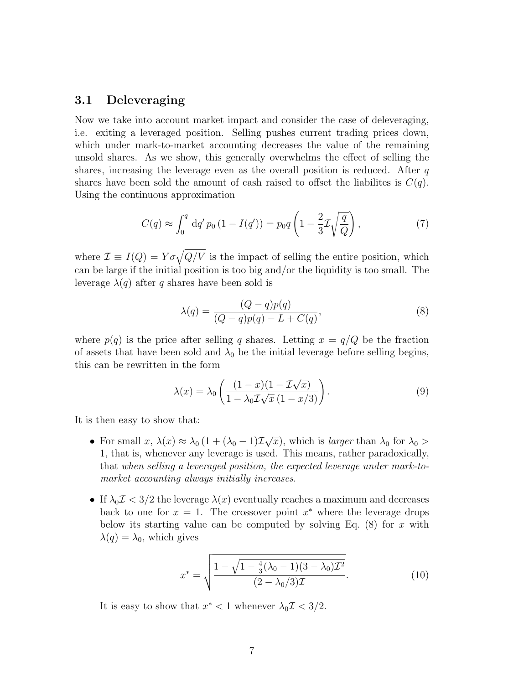#### 3.1 Deleveraging

Now we take into account market impact and consider the case of deleveraging, i.e. exiting a leveraged position. Selling pushes current trading prices down, which under mark-to-market accounting decreases the value of the remaining unsold shares. As we show, this generally overwhelms the effect of selling the shares, increasing the leverage even as the overall position is reduced. After  $q$ shares have been sold the amount of cash raised to offset the liabilites is  $C(q)$ . Using the continuous approximation

$$
C(q) \approx \int_0^q dq' p_0 (1 - I(q')) = p_0 q \left( 1 - \frac{2}{3} \mathcal{I} \sqrt{\frac{q}{Q}} \right),
$$
 (7)

where  $\mathcal{I} \equiv I(Q) = Y \sigma \sqrt{Q/V}$  is the impact of selling the entire position, which can be large if the initial position is too big and/or the liquidity is too small. The leverage  $\lambda(q)$  after q shares have been sold is

$$
\lambda(q) = \frac{(Q-q)p(q)}{(Q-q)p(q) - L + C(q)},
$$
\n(8)

where  $p(q)$  is the price after selling q shares. Letting  $x = q/Q$  be the fraction of assets that have been sold and  $\lambda_0$  be the initial leverage before selling begins, this can be rewritten in the form

$$
\lambda(x) = \lambda_0 \left( \frac{(1-x)(1 - \mathcal{I}\sqrt{x})}{1 - \lambda_0 \mathcal{I}\sqrt{x}(1 - x/3)} \right).
$$
\n(9)

It is then easy to show that:

- For small  $x, \lambda(x) \approx \lambda_0 (1 + (\lambda_0 1) \mathcal{I}$ √  $(\overline{x})$ , which is *larger* than  $\lambda_0$  for  $\lambda_0 >$ 1, that is, whenever any leverage is used. This means, rather paradoxically, that when selling a leveraged position, the expected leverage under mark-tomarket accounting always initially increases.
- If  $\lambda_0 \mathcal{I} < 3/2$  the leverage  $\lambda(x)$  eventually reaches a maximum and decreases back to one for  $x = 1$ . The crossover point  $x^*$  where the leverage drops below its starting value can be computed by solving Eq.  $(8)$  for x with  $\lambda(q) = \lambda_0$ , which gives

$$
x^* = \sqrt{\frac{1 - \sqrt{1 - \frac{4}{3}(\lambda_0 - 1)(3 - \lambda_0)\mathcal{I}^2}}{(2 - \lambda_0/3)\mathcal{I}}}.
$$
(10)

It is easy to show that  $x^* < 1$  whenever  $\lambda_0 \mathcal{I} < 3/2$ .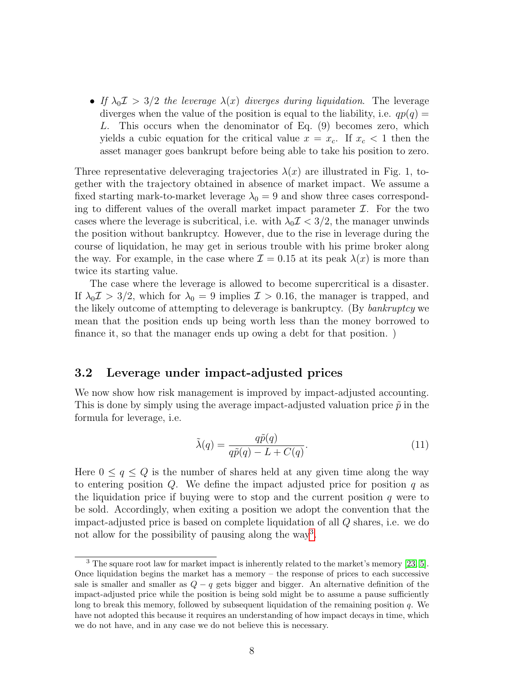• If  $\lambda_0 \mathcal{I} > 3/2$  the leverage  $\lambda(x)$  diverges during liquidation. The leverage diverges when the value of the position is equal to the liability, i.e.  $qp(q)$  = L. This occurs when the denominator of Eq. (9) becomes zero, which yields a cubic equation for the critical value  $x = x_c$ . If  $x_c < 1$  then the asset manager goes bankrupt before being able to take his position to zero.

Three representative deleveraging trajectories  $\lambda(x)$  are illustrated in Fig. 1, together with the trajectory obtained in absence of market impact. We assume a fixed starting mark-to-market leverage  $\lambda_0 = 9$  and show three cases corresponding to different values of the overall market impact parameter  $\mathcal{I}$ . For the two cases where the leverage is subcritical, i.e. with  $\lambda_0 \mathcal{I} < 3/2$ , the manager unwinds the position without bankruptcy. However, due to the rise in leverage during the course of liquidation, he may get in serious trouble with his prime broker along the way. For example, in the case where  $\mathcal{I} = 0.15$  at its peak  $\lambda(x)$  is more than twice its starting value.

The case where the leverage is allowed to become supercritical is a disaster. If  $\lambda_0 \mathcal{I} > 3/2$ , which for  $\lambda_0 = 9$  implies  $\mathcal{I} > 0.16$ , the manager is trapped, and the likely outcome of attempting to deleverage is bankruptcy. (By bankruptcy we mean that the position ends up being worth less than the money borrowed to finance it, so that the manager ends up owing a debt for that position. )

#### 3.2 Leverage under impact-adjusted prices

We now show how risk management is improved by impact-adjusted accounting. This is done by simply using the average impact-adjusted valuation price  $\tilde{p}$  in the formula for leverage, i.e.

$$
\tilde{\lambda}(q) = \frac{q\tilde{p}(q)}{q\tilde{p}(q) - L + C(q)}.\tag{11}
$$

Here  $0 \leq q \leq Q$  is the number of shares held at any given time along the way to entering position  $Q$ . We define the impact adjusted price for position  $q$  as the liquidation price if buying were to stop and the current position  $q$  were to be sold. Accordingly, when exiting a position we adopt the convention that the impact-adjusted price is based on complete liquidation of all Q shares, i.e. we do not allow for the possibility of pausing along the way<sup>[3](#page-7-0)</sup>.

<span id="page-7-0"></span> $3$  The square root law for market impact is inherently related to the market's memory [\[23,](#page-17-7) [5\]](#page-16-2). Once liquidation begins the market has a memory – the response of prices to each successive sale is smaller and smaller as  $Q - q$  gets bigger and bigger. An alternative definition of the impact-adjusted price while the position is being sold might be to assume a pause sufficiently long to break this memory, followed by subsequent liquidation of the remaining position q. We have not adopted this because it requires an understanding of how impact decays in time, which we do not have, and in any case we do not believe this is necessary.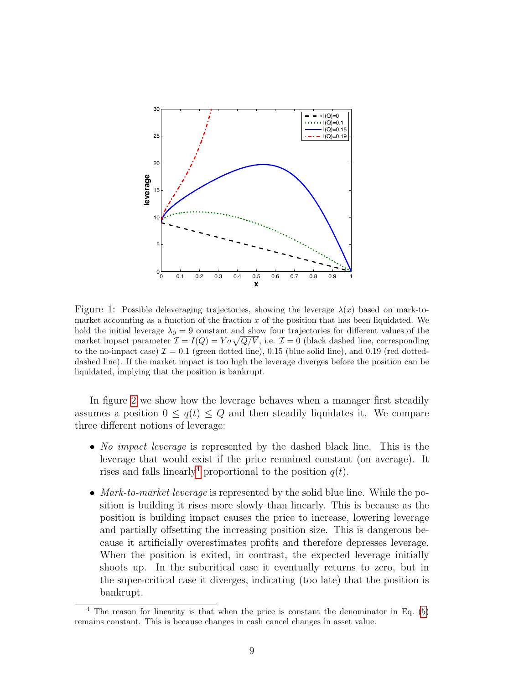

Figure 1: Possible deleveraging trajectories, showing the leverage  $\lambda(x)$  based on mark-tomarket accounting as a function of the fraction  $x$  of the position that has been liquidated. We hold the initial leverage  $\lambda_0 = 9$  constant and show four trajectories for different values of the market impact parameter  $\mathcal{I} = I(Q) = Y \sigma \sqrt{Q/V}$ , i.e.  $\mathcal{I} = 0$  (black dashed line, corresponding to the no-impact case)  $\mathcal{I} = 0.1$  (green dotted line), 0.15 (blue solid line), and 0.19 (red dotteddashed line). If the market impact is too high the leverage diverges before the position can be liquidated, implying that the position is bankrupt.

In figure [2](#page-9-0) we show how the leverage behaves when a manager first steadily assumes a position  $0 \leq q(t) \leq Q$  and then steadily liquidates it. We compare three different notions of leverage:

- No impact leverage is represented by the dashed black line. This is the leverage that would exist if the price remained constant (on average). It rises and falls linearly<sup>[4](#page-8-0)</sup> proportional to the position  $q(t)$ .
- Mark-to-market leverage is represented by the solid blue line. While the position is building it rises more slowly than linearly. This is because as the position is building impact causes the price to increase, lowering leverage and partially offsetting the increasing position size. This is dangerous because it artificially overestimates profits and therefore depresses leverage. When the position is exited, in contrast, the expected leverage initially shoots up. In the subcritical case it eventually returns to zero, but in the super-critical case it diverges, indicating (too late) that the position is bankrupt.

<span id="page-8-0"></span> $4$  The reason for linearity is that when the price is constant the denominator in Eq. [\(5\)](#page-5-1) remains constant. This is because changes in cash cancel changes in asset value.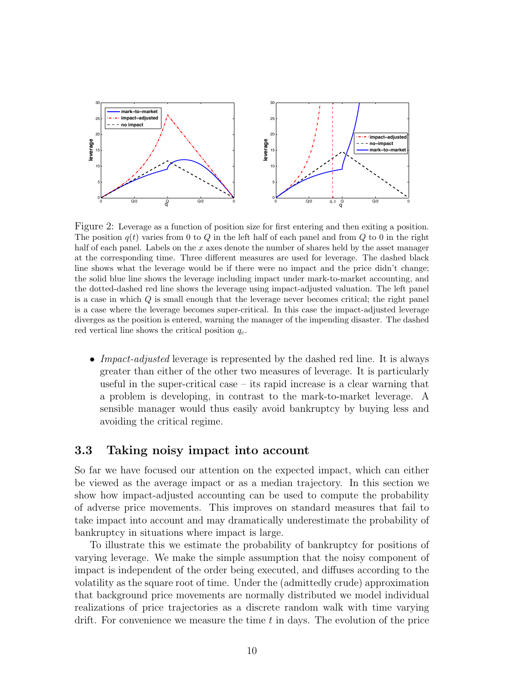

<span id="page-9-0"></span>Figure 2: Leverage as a function of position size for first entering and then exiting a position. The position  $q(t)$  varies from 0 to Q in the left half of each panel and from Q to 0 in the right half of each panel. Labels on the x axes denote the number of shares held by the asset manager at the corresponding time. Three different measures are used for leverage. The dashed black line shows what the leverage would be if there were no impact and the price didn't change; the solid blue line shows the leverage including impact under mark-to-market accounting, and the dotted-dashed red line shows the leverage using impact-adjusted valuation. The left panel is a case in which Q is small enough that the leverage never becomes critical; the right panel is a case where the leverage becomes super-critical. In this case the impact-adjusted leverage diverges as the position is entered, warning the manager of the impending disaster. The dashed red vertical line shows the critical position  $q_c$ .

• Impact-adjusted leverage is represented by the dashed red line. It is always greater than either of the other two measures of leverage. It is particularly useful in the super-critical case – its rapid increase is a clear warning that a problem is developing, in contrast to the mark-to-market leverage. A sensible manager would thus easily avoid bankruptcy by buying less and avoiding the critical regime.

#### 3.3 Taking noisy impact into account

So far we have focused our attention on the expected impact, which can either be viewed as the average impact or as a median trajectory. In this section we show how impact-adjusted accounting can be used to compute the probability of adverse price movements. This improves on standard measures that fail to take impact into account and may dramatically underestimate the probability of bankruptcy in situations where impact is large.

To illustrate this we estimate the probability of bankruptcy for positions of varying leverage. We make the simple assumption that the noisy component of impact is independent of the order being executed, and diffuses according to the volatility as the square root of time. Under the (admittedly crude) approximation that background price movements are normally distributed we model individual realizations of price trajectories as a discrete random walk with time varying drift. For convenience we measure the time  $t$  in days. The evolution of the price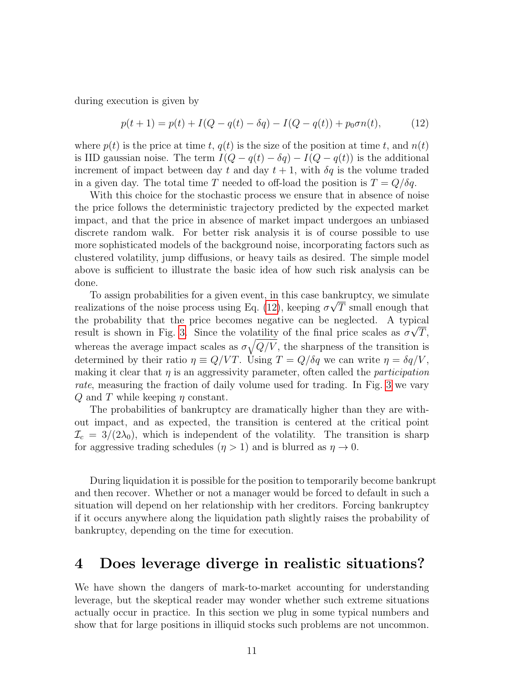during execution is given by

<span id="page-10-0"></span>
$$
p(t+1) = p(t) + I(Q - q(t) - \delta q) - I(Q - q(t)) + p_0 \sigma n(t), \tag{12}
$$

where  $p(t)$  is the price at time t,  $q(t)$  is the size of the position at time t, and  $n(t)$ is IID gaussian noise. The term  $I(Q - q(t) - \delta q) - I(Q - q(t))$  is the additional increment of impact between day t and day  $t + 1$ , with  $\delta q$  is the volume traded in a given day. The total time T needed to off-load the position is  $T = Q/\delta q$ .

With this choice for the stochastic process we ensure that in absence of noise the price follows the deterministic trajectory predicted by the expected market impact, and that the price in absence of market impact undergoes an unbiased discrete random walk. For better risk analysis it is of course possible to use more sophisticated models of the background noise, incorporating factors such as clustered volatility, jump diffusions, or heavy tails as desired. The simple model above is sufficient to illustrate the basic idea of how such risk analysis can be done.

To assign probabilities for a given event, in this case bankruptcy, we simulate realizations of the noise process using Eq. [\(12\)](#page-10-0), keeping  $\sigma\sqrt{T}$  small enough that the probability that the price becomes negative can be neglected. A typical result is shown in Fig. [3.](#page-11-0) Since the volatility of the final price scales as  $\sigma\sqrt{T}$ , whereas the average impact scales as  $\sigma \sqrt{Q/V}$ , the sharpness of the transition is determined by their ratio  $\eta \equiv Q/VT$ . Using  $T = Q/\delta q$  we can write  $\eta = \delta q/V$ , making it clear that  $\eta$  is an aggressivity parameter, often called the *participation* rate, measuring the fraction of daily volume used for trading. In Fig. [3](#page-11-0) we vary Q and T while keeping  $\eta$  constant.

The probabilities of bankruptcy are dramatically higher than they are without impact, and as expected, the transition is centered at the critical point  $\mathcal{I}_c = 3/(2\lambda_0)$ , which is independent of the volatility. The transition is sharp for aggressive trading schedules  $(\eta > 1)$  and is blurred as  $\eta \to 0$ .

During liquidation it is possible for the position to temporarily become bankrupt and then recover. Whether or not a manager would be forced to default in such a situation will depend on her relationship with her creditors. Forcing bankruptcy if it occurs anywhere along the liquidation path slightly raises the probability of bankruptcy, depending on the time for execution.

### 4 Does leverage diverge in realistic situations?

We have shown the dangers of mark-to-market accounting for understanding leverage, but the skeptical reader may wonder whether such extreme situations actually occur in practice. In this section we plug in some typical numbers and show that for large positions in illiquid stocks such problems are not uncommon.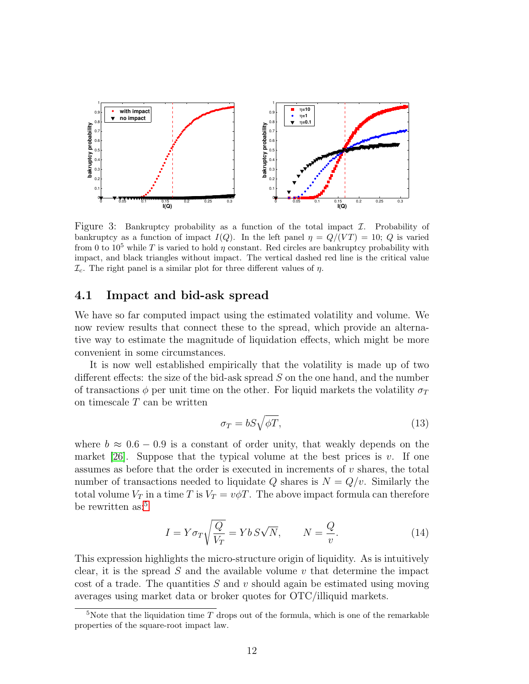

<span id="page-11-0"></span>Figure 3: Bankruptcy probability as a function of the total impact  $\mathcal I$ . Probability of bankruptcy as a function of impact  $I(Q)$ . In the left panel  $\eta = Q/(VT) = 10$ ; Q is varied from 0 to  $10^5$  while T is varied to hold  $\eta$  constant. Red circles are bankruptcy probability with impact, and black triangles without impact. The vertical dashed red line is the critical value  $\mathcal{I}_c$ . The right panel is a similar plot for three different values of  $\eta$ .

#### 4.1 Impact and bid-ask spread

We have so far computed impact using the estimated volatility and volume. We now review results that connect these to the spread, which provide an alternative way to estimate the magnitude of liquidation effects, which might be more convenient in some circumstances.

It is now well established empirically that the volatility is made up of two different effects: the size of the bid-ask spread  $S$  on the one hand, and the number of transactions  $\phi$  per unit time on the other. For liquid markets the volatility  $\sigma_T$ on timescale  $T$  can be written

$$
\sigma_T = bS\sqrt{\phi T},\tag{13}
$$

where  $b \approx 0.6 - 0.9$  is a constant of order unity, that weakly depends on the market [\[26\]](#page-17-10). Suppose that the typical volume at the best prices is  $v$ . If one assumes as before that the order is executed in increments of  $v$  shares, the total number of transactions needed to liquidate Q shares is  $N = Q/v$ . Similarly the total volume  $V_T$  in a time T is  $V_T = v\phi T$ . The above impact formula can therefore be rewritten as:<sup>[5](#page-11-1)</sup>

<span id="page-11-2"></span>
$$
I = Y \sigma_T \sqrt{\frac{Q}{V_T}} = Yb \, S\sqrt{N}, \qquad N = \frac{Q}{v}.
$$
 (14)

This expression highlights the micro-structure origin of liquidity. As is intuitively clear, it is the spread  $S$  and the available volume  $v$  that determine the impact cost of a trade. The quantities  $S$  and  $v$  should again be estimated using moving averages using market data or broker quotes for OTC/illiquid markets.

<span id="page-11-1"></span><sup>&</sup>lt;sup>5</sup>Note that the liquidation time  $T$  drops out of the formula, which is one of the remarkable properties of the square-root impact law.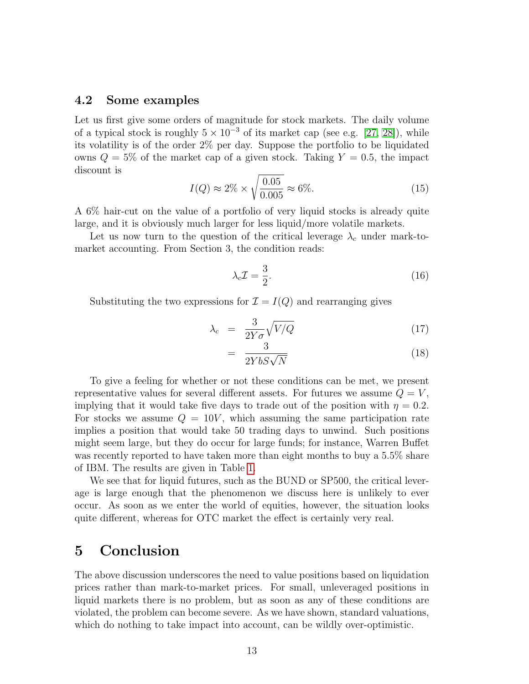#### 4.2 Some examples

Let us first give some orders of magnitude for stock markets. The daily volume of a typical stock is roughly  $5 \times 10^{-3}$  of its market cap (see e.g. [\[27,](#page-17-11) [28\]](#page-17-12)), while its volatility is of the order 2% per day. Suppose the portfolio to be liquidated owns  $Q = 5\%$  of the market cap of a given stock. Taking  $Y = 0.5$ , the impact discount is

$$
I(Q) \approx 2\% \times \sqrt{\frac{0.05}{0.005}} \approx 6\%.
$$
 (15)

A 6% hair-cut on the value of a portfolio of very liquid stocks is already quite large, and it is obviously much larger for less liquid/more volatile markets.

Let us now turn to the question of the critical leverage  $\lambda_c$  under mark-tomarket accounting. From Section 3, the condition reads:

$$
\lambda_c \mathcal{I} = \frac{3}{2}.\tag{16}
$$

Substituting the two expressions for  $\mathcal{I} = I(Q)$  and rearranging gives

$$
\lambda_c = \frac{3}{2Y\sigma} \sqrt{V/Q} \tag{17}
$$

$$
= \frac{3}{2YbS\sqrt{N}}\tag{18}
$$

To give a feeling for whether or not these conditions can be met, we present representative values for several different assets. For futures we assume  $Q = V$ , implying that it would take five days to trade out of the position with  $\eta = 0.2$ . For stocks we assume  $Q = 10V$ , which assuming the same participation rate implies a position that would take 50 trading days to unwind. Such positions might seem large, but they do occur for large funds; for instance, Warren Buffet was recently reported to have taken more than eight months to buy a  $5.5\%$  share of IBM. The results are given in Table [1.](#page-13-0)

We see that for liquid futures, such as the BUND or SP500, the critical leverage is large enough that the phenomenon we discuss here is unlikely to ever occur. As soon as we enter the world of equities, however, the situation looks quite different, whereas for OTC market the effect is certainly very real.

### 5 Conclusion

The above discussion underscores the need to value positions based on liquidation prices rather than mark-to-market prices. For small, unleveraged positions in liquid markets there is no problem, but as soon as any of these conditions are violated, the problem can become severe. As we have shown, standard valuations, which do nothing to take impact into account, can be wildly over-optimistic.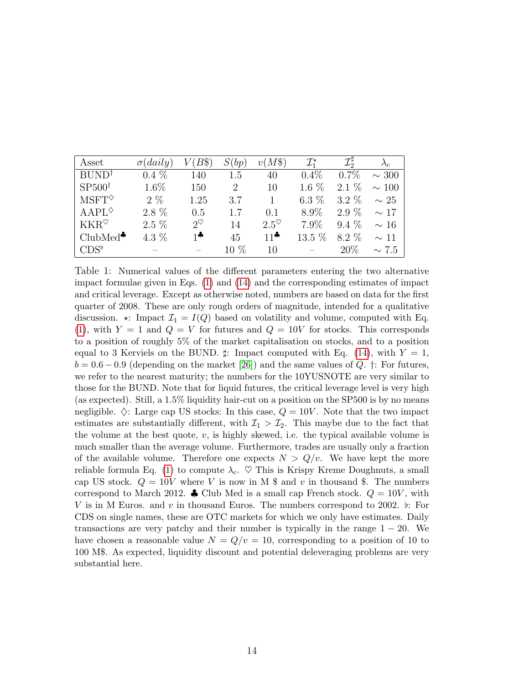| Asset                             | $\sigma(daily)$ | $V(B\$)$                              | S(bp)                       | $v(M\$                                 | $\mathcal{I}_1^{\star}$ | $\mathcal{I}^\sharp$ |            |
|-----------------------------------|-----------------|---------------------------------------|-----------------------------|----------------------------------------|-------------------------|----------------------|------------|
| BUND <sup>†</sup>                 | $0.4\%$         | 140                                   | 1.5                         | 40                                     | $0.4\%$                 | $0.7\%$              | $\sim$ 300 |
| $SP500^{\dagger}$                 | $1.6\%$         | 150                                   | $\mathcal{D}_{\mathcal{L}}$ | 10                                     | 1.6 $%$                 | $2.1\%$              | $\sim$ 100 |
| $M\mathrm{SFT}^{\diamondsuit}$    | $2\%$           | 1.25                                  | 3.7                         | 1.                                     | $6.3\%$                 | $3.2\%$              | $\sim 25$  |
| $AAPL^{\diamondsuit}$             | $2.8\%$         | 0.5                                   | 17                          | 0.1                                    | 8.9%                    | $2.9\%$              | $\sim$ 17  |
| $\operatorname{KKR}^{\heartsuit}$ | $2.5\%$         | $2^{\heartsuit}$                      | 14                          | $2.5^\heartsuit$                       | $7.9\%$                 | $9.4\%$              | $\sim$ 16  |
| $ClubMed^{\clubsuit}$             | 4.3 $%$         | $\mathbf{1}$ is a set of $\mathbf{r}$ | 45                          | $11$ <sup><math>\clubsuit</math></sup> | $13.5\%$                | 8.2 %                | $\sim$ 11  |
| $CDS^{\flat}$                     |                 |                                       | $10\%$                      | 10                                     |                         | 20%                  | $\sim 7.5$ |

<span id="page-13-0"></span>Table 1: Numerical values of the different parameters entering the two alternative impact formulae given in Eqs. [\(1\)](#page-3-0) and [\(14\)](#page-11-2) and the corresponding estimates of impact and critical leverage. Except as otherwise noted, numbers are based on data for the first quarter of 2008. These are only rough orders of magnitude, intended for a qualitative discussion.  $\star$ : Impact  $\mathcal{I}_1 = I(Q)$  based on volatility and volume, computed with Eq.  $(1)$ , with  $Y = 1$  and  $Q = V$  for futures and  $Q = 10V$  for stocks. This corresponds to a position of roughly 5% of the market capitalisation on stocks, and to a position equal to 3 Kerviels on the BUND.  $\sharp$ : Impact computed with Eq. [\(14\)](#page-11-2), with  $Y = 1$ ,  $b = 0.6 - 0.9$  (depending on the market [\[26\]](#page-17-10)) and the same values of Q. †: For futures, we refer to the nearest maturity; the numbers for the 10YUSNOTE are very similar to those for the BUND. Note that for liquid futures, the critical leverage level is very high (as expected). Still, a 1.5% liquidity hair-cut on a position on the SP500 is by no means negligible.  $\diamondsuit$ : Large cap US stocks: In this case,  $Q = 10V$ . Note that the two impact estimates are substantially different, with  $\mathcal{I}_1 > \mathcal{I}_2$ . This maybe due to the fact that the volume at the best quote,  $v$ , is highly skewed, i.e. the typical available volume is much smaller than the average volume. Furthermore, trades are usually only a fraction of the available volume. Therefore one expects  $N > Q/v$ . We have kept the more reliable formula Eq. [\(1\)](#page-3-0) to compute  $\lambda_c$ .  $\heartsuit$  This is Krispy Kreme Doughnuts, a small cap US stock.  $Q = 10V$  where V is now in M \$ and v in thousand \$. The numbers correspond to March 2012.  $\clubsuit$  Club Med is a small cap French stock.  $Q = 10V$ , with V is in M Euros. and v in thousand Euros. The numbers correspond to 2002.  $\flat$ : For CDS on single names, these are OTC markets for which we only have estimates. Daily transactions are very patchy and their number is typically in the range  $1 - 20$ . We have chosen a reasonable value  $N = Q/v = 10$ , corresponding to a position of 10 to 100 M\$. As expected, liquidity discount and potential deleveraging problems are very substantial here.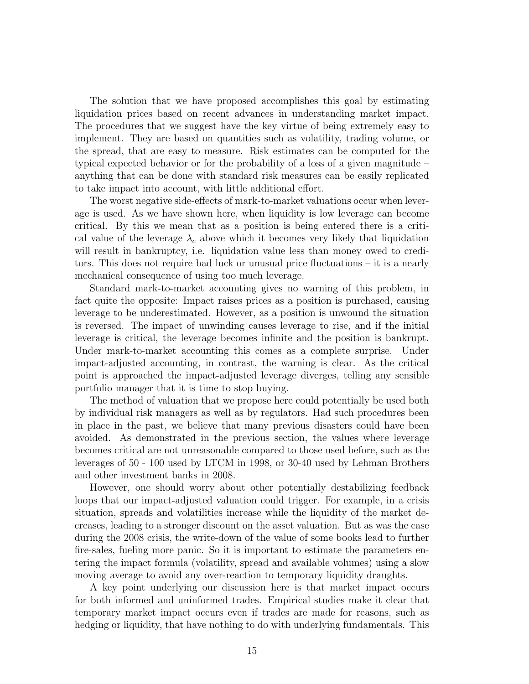The solution that we have proposed accomplishes this goal by estimating liquidation prices based on recent advances in understanding market impact. The procedures that we suggest have the key virtue of being extremely easy to implement. They are based on quantities such as volatility, trading volume, or the spread, that are easy to measure. Risk estimates can be computed for the typical expected behavior or for the probability of a loss of a given magnitude – anything that can be done with standard risk measures can be easily replicated to take impact into account, with little additional effort.

The worst negative side-effects of mark-to-market valuations occur when leverage is used. As we have shown here, when liquidity is low leverage can become critical. By this we mean that as a position is being entered there is a critical value of the leverage  $\lambda_c$  above which it becomes very likely that liquidation will result in bankruptcy, i.e. liquidation value less than money owed to creditors. This does not require bad luck or unusual price fluctuations – it is a nearly mechanical consequence of using too much leverage.

Standard mark-to-market accounting gives no warning of this problem, in fact quite the opposite: Impact raises prices as a position is purchased, causing leverage to be underestimated. However, as a position is unwound the situation is reversed. The impact of unwinding causes leverage to rise, and if the initial leverage is critical, the leverage becomes infinite and the position is bankrupt. Under mark-to-market accounting this comes as a complete surprise. Under impact-adjusted accounting, in contrast, the warning is clear. As the critical point is approached the impact-adjusted leverage diverges, telling any sensible portfolio manager that it is time to stop buying.

The method of valuation that we propose here could potentially be used both by individual risk managers as well as by regulators. Had such procedures been in place in the past, we believe that many previous disasters could have been avoided. As demonstrated in the previous section, the values where leverage becomes critical are not unreasonable compared to those used before, such as the leverages of 50 - 100 used by LTCM in 1998, or 30-40 used by Lehman Brothers and other investment banks in 2008.

However, one should worry about other potentially destabilizing feedback loops that our impact-adjusted valuation could trigger. For example, in a crisis situation, spreads and volatilities increase while the liquidity of the market decreases, leading to a stronger discount on the asset valuation. But as was the case during the 2008 crisis, the write-down of the value of some books lead to further fire-sales, fueling more panic. So it is important to estimate the parameters entering the impact formula (volatility, spread and available volumes) using a slow moving average to avoid any over-reaction to temporary liquidity draughts.

A key point underlying our discussion here is that market impact occurs for both informed and uninformed trades. Empirical studies make it clear that temporary market impact occurs even if trades are made for reasons, such as hedging or liquidity, that have nothing to do with underlying fundamentals. This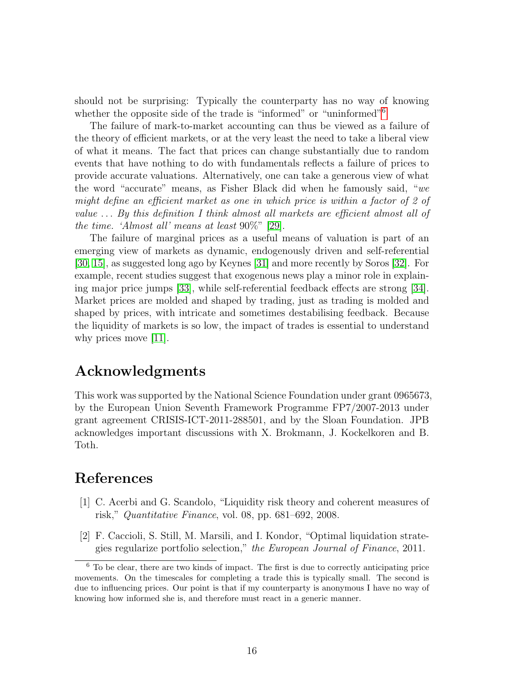should not be surprising: Typically the counterparty has no way of knowing whether the opposite side of the trade is "informed" or "uninformed"<sup>[6](#page-15-2)</sup>

The failure of mark-to-market accounting can thus be viewed as a failure of the theory of efficient markets, or at the very least the need to take a liberal view of what it means. The fact that prices can change substantially due to random events that have nothing to do with fundamentals reflects a failure of prices to provide accurate valuations. Alternatively, one can take a generous view of what the word "accurate" means, as Fisher Black did when he famously said, "we might define an efficient market as one in which price is within a factor of 2 of value . . . By this definition I think almost all markets are efficient almost all of the time. 'Almost all' means at least 90%" [\[29\]](#page-17-13).

The failure of marginal prices as a useful means of valuation is part of an emerging view of markets as dynamic, endogenously driven and self-referential [\[30,](#page-17-14) [15\]](#page-16-12), as suggested long ago by Keynes [\[31\]](#page-18-0) and more recently by Soros [\[32\]](#page-18-1). For example, recent studies suggest that exogenous news play a minor role in explaining major price jumps [\[33\]](#page-18-2), while self-referential feedback effects are strong [\[34\]](#page-18-3). Market prices are molded and shaped by trading, just as trading is molded and shaped by prices, with intricate and sometimes destabilising feedback. Because the liquidity of markets is so low, the impact of trades is essential to understand why prices move [\[11\]](#page-16-8).

## Acknowledgments

This work was supported by the National Science Foundation under grant 0965673, by the European Union Seventh Framework Programme FP7/2007-2013 under grant agreement CRISIS-ICT-2011-288501, and by the Sloan Foundation. JPB acknowledges important discussions with X. Brokmann, J. Kockelkoren and B. Toth.

# References

- <span id="page-15-0"></span>[1] C. Acerbi and G. Scandolo, "Liquidity risk theory and coherent measures of risk," Quantitative Finance, vol. 08, pp. 681–692, 2008.
- <span id="page-15-1"></span>[2] F. Caccioli, S. Still, M. Marsili, and I. Kondor, "Optimal liquidation strategies regularize portfolio selection," the European Journal of Finance, 2011.

<span id="page-15-2"></span> $6$  To be clear, there are two kinds of impact. The first is due to correctly anticipating price movements. On the timescales for completing a trade this is typically small. The second is due to influencing prices. Our point is that if my counterparty is anonymous I have no way of knowing how informed she is, and therefore must react in a generic manner.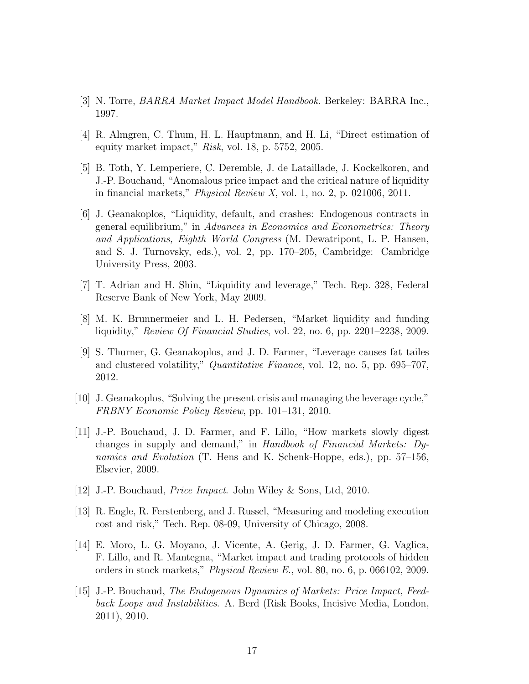- <span id="page-16-0"></span>[3] N. Torre, BARRA Market Impact Model Handbook. Berkeley: BARRA Inc., 1997.
- <span id="page-16-1"></span>[4] R. Almgren, C. Thum, H. L. Hauptmann, and H. Li, "Direct estimation of equity market impact," Risk, vol. 18, p. 5752, 2005.
- <span id="page-16-2"></span>[5] B. Toth, Y. Lemperiere, C. Deremble, J. de Lataillade, J. Kockelkoren, and J.-P. Bouchaud, "Anomalous price impact and the critical nature of liquidity in financial markets," Physical Review X, vol. 1, no. 2, p. 021006, 2011.
- <span id="page-16-3"></span>[6] J. Geanakoplos, "Liquidity, default, and crashes: Endogenous contracts in general equilibrium," in Advances in Economics and Econometrics: Theory and Applications, Eighth World Congress (M. Dewatripont, L. P. Hansen, and S. J. Turnovsky, eds.), vol. 2, pp. 170–205, Cambridge: Cambridge University Press, 2003.
- <span id="page-16-4"></span>[7] T. Adrian and H. Shin, "Liquidity and leverage," Tech. Rep. 328, Federal Reserve Bank of New York, May 2009.
- <span id="page-16-5"></span>[8] M. K. Brunnermeier and L. H. Pedersen, "Market liquidity and funding liquidity," Review Of Financial Studies, vol. 22, no. 6, pp. 2201–2238, 2009.
- <span id="page-16-6"></span>[9] S. Thurner, G. Geanakoplos, and J. D. Farmer, "Leverage causes fat tailes and clustered volatility," *Quantitative Finance*, vol. 12, no. 5, pp. 695–707, 2012.
- <span id="page-16-7"></span>[10] J. Geanakoplos, "Solving the present crisis and managing the leverage cycle," FRBNY Economic Policy Review, pp. 101–131, 2010.
- <span id="page-16-8"></span>[11] J.-P. Bouchaud, J. D. Farmer, and F. Lillo, "How markets slowly digest changes in supply and demand," in Handbook of Financial Markets: Dynamics and Evolution (T. Hens and K. Schenk-Hoppe, eds.), pp. 57–156, Elsevier, 2009.
- <span id="page-16-9"></span>[12] J.-P. Bouchaud, Price Impact. John Wiley & Sons, Ltd, 2010.
- <span id="page-16-10"></span>[13] R. Engle, R. Ferstenberg, and J. Russel, "Measuring and modeling execution cost and risk," Tech. Rep. 08-09, University of Chicago, 2008.
- <span id="page-16-11"></span>[14] E. Moro, L. G. Moyano, J. Vicente, A. Gerig, J. D. Farmer, G. Vaglica, F. Lillo, and R. Mantegna, "Market impact and trading protocols of hidden orders in stock markets," Physical Review E., vol. 80, no. 6, p. 066102, 2009.
- <span id="page-16-12"></span>[15] J.-P. Bouchaud, The Endogenous Dynamics of Markets: Price Impact, Feedback Loops and Instabilities. A. Berd (Risk Books, Incisive Media, London, 2011), 2010.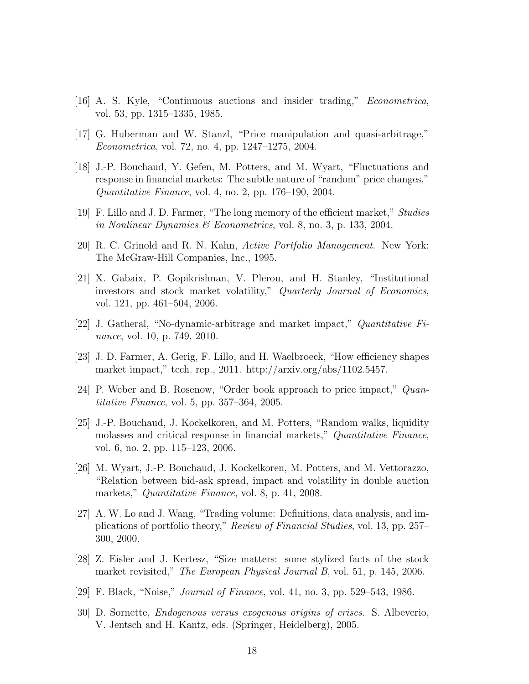- <span id="page-17-0"></span>[16] A. S. Kyle, "Continuous auctions and insider trading," Econometrica, vol. 53, pp. 1315–1335, 1985.
- <span id="page-17-1"></span>[17] G. Huberman and W. Stanzl, "Price manipulation and quasi-arbitrage," Econometrica, vol. 72, no. 4, pp. 1247–1275, 2004.
- <span id="page-17-2"></span>[18] J.-P. Bouchaud, Y. Gefen, M. Potters, and M. Wyart, "Fluctuations and response in financial markets: The subtle nature of "random" price changes," Quantitative Finance, vol. 4, no. 2, pp. 176–190, 2004.
- <span id="page-17-3"></span>[19] F. Lillo and J. D. Farmer, "The long memory of the efficient market," Studies in Nonlinear Dynamics & Econometrics, vol. 8, no. 3, p. 133, 2004.
- <span id="page-17-4"></span>[20] R. C. Grinold and R. N. Kahn, Active Portfolio Management. New York: The McGraw-Hill Companies, Inc., 1995.
- <span id="page-17-5"></span>[21] X. Gabaix, P. Gopikrishnan, V. Plerou, and H. Stanley, "Institutional investors and stock market volatility," Quarterly Journal of Economics, vol. 121, pp. 461–504, 2006.
- <span id="page-17-6"></span>[22] J. Gatheral, "No-dynamic-arbitrage and market impact," Quantitative Finance, vol. 10, p. 749, 2010.
- <span id="page-17-7"></span>[23] J. D. Farmer, A. Gerig, F. Lillo, and H. Waelbroeck, "How efficiency shapes market impact," tech. rep., 2011. http://arxiv.org/abs/1102.5457.
- <span id="page-17-8"></span>[24] P. Weber and B. Rosenow, "Order book approach to price impact," Quantitative Finance, vol. 5, pp. 357–364, 2005.
- <span id="page-17-9"></span>[25] J.-P. Bouchaud, J. Kockelkoren, and M. Potters, "Random walks, liquidity molasses and critical response in financial markets," Quantitative Finance, vol. 6, no. 2, pp. 115–123, 2006.
- <span id="page-17-10"></span>[26] M. Wyart, J.-P. Bouchaud, J. Kockelkoren, M. Potters, and M. Vettorazzo, "Relation between bid-ask spread, impact and volatility in double auction markets," *Quantitative Finance*, vol. 8, p. 41, 2008.
- <span id="page-17-11"></span>[27] A. W. Lo and J. Wang, "Trading volume: Definitions, data analysis, and implications of portfolio theory," Review of Financial Studies, vol. 13, pp. 257– 300, 2000.
- <span id="page-17-12"></span>[28] Z. Eisler and J. Kertesz, "Size matters: some stylized facts of the stock market revisited," *The European Physical Journal B*, vol. 51, p. 145, 2006.
- <span id="page-17-13"></span>[29] F. Black, "Noise," Journal of Finance, vol. 41, no. 3, pp. 529–543, 1986.
- <span id="page-17-14"></span>[30] D. Sornette, Endogenous versus exogenous origins of crises. S. Albeverio, V. Jentsch and H. Kantz, eds. (Springer, Heidelberg), 2005.